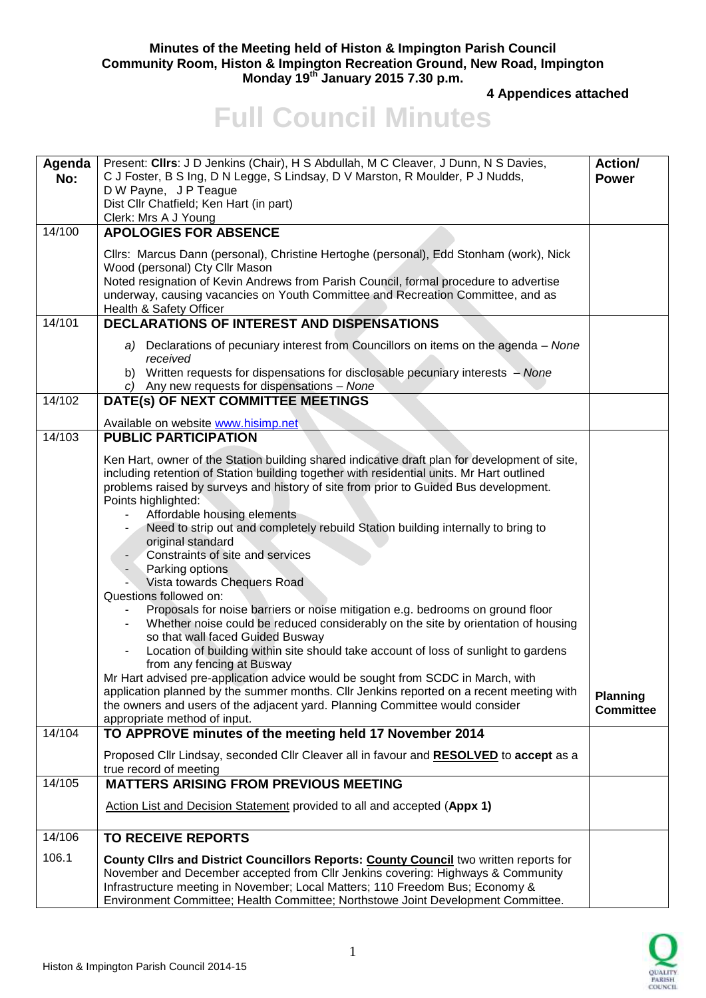## **Minutes of the Meeting held of Histon & Impington Parish Council Community Room, Histon & Impington Recreation Ground, New Road, Impington Monday 19th January 2015 7.30 p.m.**

**4 Appendices attached** 

## **Full Council Minutes**

| Agenda<br>No: | Present: Cllrs: J D Jenkins (Chair), H S Abdullah, M C Cleaver, J Dunn, N S Davies,<br>C J Foster, B S Ing, D N Legge, S Lindsay, D V Marston, R Moulder, P J Nudds,<br>D W Payne, J P Teague<br>Dist Cllr Chatfield; Ken Hart (in part)<br>Clerk: Mrs A J Young                                                                                                                                                                                                                                                                                                                                                                                                                                                                                                                                                                                                                                                                                                                                                                                                                                                                                                                                                                                            | <b>Action/</b><br><b>Power</b>      |
|---------------|-------------------------------------------------------------------------------------------------------------------------------------------------------------------------------------------------------------------------------------------------------------------------------------------------------------------------------------------------------------------------------------------------------------------------------------------------------------------------------------------------------------------------------------------------------------------------------------------------------------------------------------------------------------------------------------------------------------------------------------------------------------------------------------------------------------------------------------------------------------------------------------------------------------------------------------------------------------------------------------------------------------------------------------------------------------------------------------------------------------------------------------------------------------------------------------------------------------------------------------------------------------|-------------------------------------|
| 14/100        | <b>APOLOGIES FOR ABSENCE</b>                                                                                                                                                                                                                                                                                                                                                                                                                                                                                                                                                                                                                                                                                                                                                                                                                                                                                                                                                                                                                                                                                                                                                                                                                                |                                     |
|               | Cllrs: Marcus Dann (personal), Christine Hertoghe (personal), Edd Stonham (work), Nick<br>Wood (personal) Cty Cllr Mason<br>Noted resignation of Kevin Andrews from Parish Council, formal procedure to advertise<br>underway, causing vacancies on Youth Committee and Recreation Committee, and as<br>Health & Safety Officer                                                                                                                                                                                                                                                                                                                                                                                                                                                                                                                                                                                                                                                                                                                                                                                                                                                                                                                             |                                     |
| 14/101        | <b>DECLARATIONS OF INTEREST AND DISPENSATIONS</b>                                                                                                                                                                                                                                                                                                                                                                                                                                                                                                                                                                                                                                                                                                                                                                                                                                                                                                                                                                                                                                                                                                                                                                                                           |                                     |
|               | a) Declarations of pecuniary interest from Councillors on items on the agenda – None<br>received<br>b) Written requests for dispensations for disclosable pecuniary interests - None<br>c) Any new requests for dispensations - None                                                                                                                                                                                                                                                                                                                                                                                                                                                                                                                                                                                                                                                                                                                                                                                                                                                                                                                                                                                                                        |                                     |
| 14/102        | DATE(s) OF NEXT COMMITTEE MEETINGS                                                                                                                                                                                                                                                                                                                                                                                                                                                                                                                                                                                                                                                                                                                                                                                                                                                                                                                                                                                                                                                                                                                                                                                                                          |                                     |
|               | Available on website www.hisimp.net                                                                                                                                                                                                                                                                                                                                                                                                                                                                                                                                                                                                                                                                                                                                                                                                                                                                                                                                                                                                                                                                                                                                                                                                                         |                                     |
| 14/103        | <b>PUBLIC PARTICIPATION</b>                                                                                                                                                                                                                                                                                                                                                                                                                                                                                                                                                                                                                                                                                                                                                                                                                                                                                                                                                                                                                                                                                                                                                                                                                                 |                                     |
| 14/104        | Ken Hart, owner of the Station building shared indicative draft plan for development of site,<br>including retention of Station building together with residential units. Mr Hart outlined<br>problems raised by surveys and history of site from prior to Guided Bus development.<br>Points highlighted:<br>Affordable housing elements<br>Need to strip out and completely rebuild Station building internally to bring to<br>original standard<br>Constraints of site and services<br>Parking options<br>Vista towards Chequers Road<br>Questions followed on:<br>Proposals for noise barriers or noise mitigation e.g. bedrooms on ground floor<br>Whether noise could be reduced considerably on the site by orientation of housing<br>so that wall faced Guided Busway<br>Location of building within site should take account of loss of sunlight to gardens<br>from any fencing at Busway<br>Mr Hart advised pre-application advice would be sought from SCDC in March, with<br>application planned by the summer months. Cllr Jenkins reported on a recent meeting with<br>the owners and users of the adjacent yard. Planning Committee would consider<br>appropriate method of input.<br>TO APPROVE minutes of the meeting held 17 November 2014 | <b>Planning</b><br><b>Committee</b> |
|               |                                                                                                                                                                                                                                                                                                                                                                                                                                                                                                                                                                                                                                                                                                                                                                                                                                                                                                                                                                                                                                                                                                                                                                                                                                                             |                                     |
|               | Proposed Cllr Lindsay, seconded Cllr Cleaver all in favour and RESOLVED to accept as a<br>true record of meeting                                                                                                                                                                                                                                                                                                                                                                                                                                                                                                                                                                                                                                                                                                                                                                                                                                                                                                                                                                                                                                                                                                                                            |                                     |
| 14/105        | <b>MATTERS ARISING FROM PREVIOUS MEETING</b>                                                                                                                                                                                                                                                                                                                                                                                                                                                                                                                                                                                                                                                                                                                                                                                                                                                                                                                                                                                                                                                                                                                                                                                                                |                                     |
|               | Action List and Decision Statement provided to all and accepted (Appx 1)                                                                                                                                                                                                                                                                                                                                                                                                                                                                                                                                                                                                                                                                                                                                                                                                                                                                                                                                                                                                                                                                                                                                                                                    |                                     |
| 14/106        | <b>TO RECEIVE REPORTS</b>                                                                                                                                                                                                                                                                                                                                                                                                                                                                                                                                                                                                                                                                                                                                                                                                                                                                                                                                                                                                                                                                                                                                                                                                                                   |                                     |
| 106.1         | County Clirs and District Councillors Reports: County Council two written reports for<br>November and December accepted from Cllr Jenkins covering: Highways & Community<br>Infrastructure meeting in November; Local Matters; 110 Freedom Bus; Economy &<br>Environment Committee; Health Committee; Northstowe Joint Development Committee.                                                                                                                                                                                                                                                                                                                                                                                                                                                                                                                                                                                                                                                                                                                                                                                                                                                                                                               |                                     |

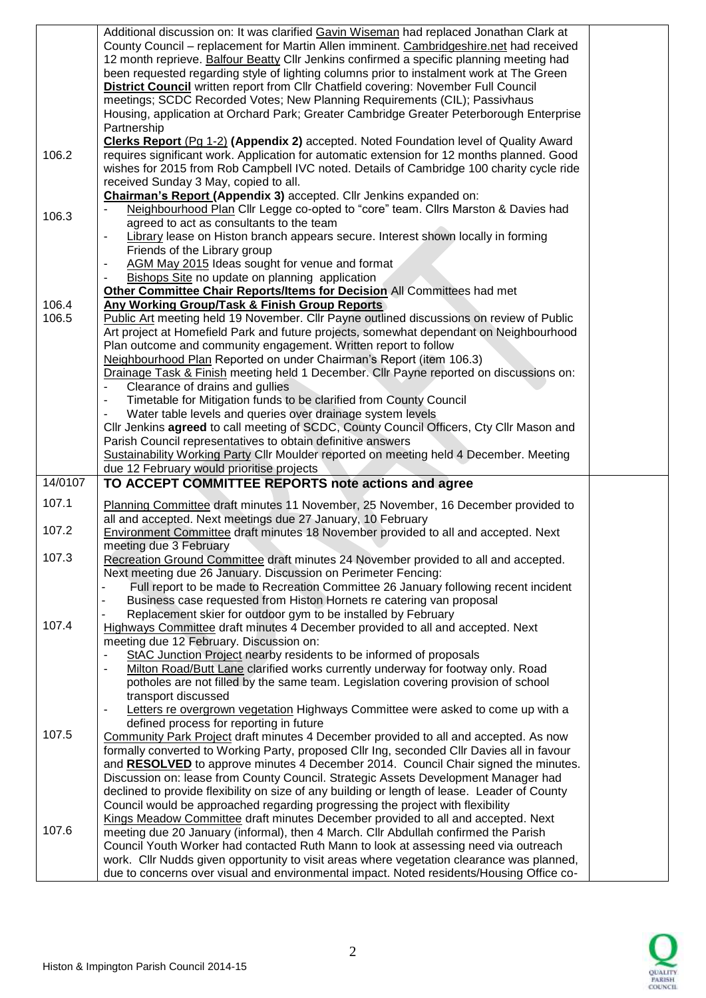|                | Additional discussion on: It was clarified Gavin Wiseman had replaced Jonathan Clark at<br>County Council - replacement for Martin Allen imminent. Cambridgeshire.net had received<br>12 month reprieve. Balfour Beatty Cllr Jenkins confirmed a specific planning meeting had<br>been requested regarding style of lighting columns prior to instalment work at The Green<br><b>District Council</b> written report from Cllr Chatfield covering: November Full Council<br>meetings; SCDC Recorded Votes; New Planning Requirements (CIL); Passivhaus<br>Housing, application at Orchard Park; Greater Cambridge Greater Peterborough Enterprise                                                                               |  |
|----------------|---------------------------------------------------------------------------------------------------------------------------------------------------------------------------------------------------------------------------------------------------------------------------------------------------------------------------------------------------------------------------------------------------------------------------------------------------------------------------------------------------------------------------------------------------------------------------------------------------------------------------------------------------------------------------------------------------------------------------------|--|
| 106.2          | Partnership<br>Clerks Report (Pg 1-2) (Appendix 2) accepted. Noted Foundation level of Quality Award<br>requires significant work. Application for automatic extension for 12 months planned. Good<br>wishes for 2015 from Rob Campbell IVC noted. Details of Cambridge 100 charity cycle ride<br>received Sunday 3 May, copied to all.                                                                                                                                                                                                                                                                                                                                                                                         |  |
| 106.3          | Chairman's Report (Appendix 3) accepted. Cllr Jenkins expanded on:<br>Neighbourhood Plan Cllr Legge co-opted to "core" team. Cllrs Marston & Davies had<br>agreed to act as consultants to the team                                                                                                                                                                                                                                                                                                                                                                                                                                                                                                                             |  |
|                | Library lease on Histon branch appears secure. Interest shown locally in forming<br>$\overline{\phantom{a}}$<br>Friends of the Library group<br>AGM May 2015 Ideas sought for venue and format<br>Bishops Site no update on planning application                                                                                                                                                                                                                                                                                                                                                                                                                                                                                |  |
| 106.4<br>106.5 | Other Committee Chair Reports/Items for Decision All Committees had met<br>Any Working Group/Task & Finish Group Reports<br>Public Art meeting held 19 November. Cllr Payne outlined discussions on review of Public                                                                                                                                                                                                                                                                                                                                                                                                                                                                                                            |  |
|                | Art project at Homefield Park and future projects, somewhat dependant on Neighbourhood<br>Plan outcome and community engagement. Written report to follow<br>Neighbourhood Plan Reported on under Chairman's Report (item 106.3)<br>Drainage Task & Finish meeting held 1 December. Cllr Payne reported on discussions on:                                                                                                                                                                                                                                                                                                                                                                                                      |  |
|                | Clearance of drains and gullies<br>Timetable for Mitigation funds to be clarified from County Council<br>Water table levels and queries over drainage system levels                                                                                                                                                                                                                                                                                                                                                                                                                                                                                                                                                             |  |
|                | Cllr Jenkins agreed to call meeting of SCDC, County Council Officers, Cty Cllr Mason and<br>Parish Council representatives to obtain definitive answers<br>Sustainability Working Party Cllr Moulder reported on meeting held 4 December. Meeting                                                                                                                                                                                                                                                                                                                                                                                                                                                                               |  |
| 14/0107        | due 12 February would prioritise projects<br>TO ACCEPT COMMITTEE REPORTS note actions and agree                                                                                                                                                                                                                                                                                                                                                                                                                                                                                                                                                                                                                                 |  |
| 107.1          | Planning Committee draft minutes 11 November, 25 November, 16 December provided to                                                                                                                                                                                                                                                                                                                                                                                                                                                                                                                                                                                                                                              |  |
| 107.2          | all and accepted. Next meetings due 27 January, 10 February<br>Environment Committee draft minutes 18 November provided to all and accepted. Next<br>meeting due 3 February                                                                                                                                                                                                                                                                                                                                                                                                                                                                                                                                                     |  |
| 107.3          | Recreation Ground Committee draft minutes 24 November provided to all and accepted.<br>Next meeting due 26 January. Discussion on Perimeter Fencing:<br>Full report to be made to Recreation Committee 26 January following recent incident                                                                                                                                                                                                                                                                                                                                                                                                                                                                                     |  |
| 107.4          | Business case requested from Histon Hornets re catering van proposal<br>Replacement skier for outdoor gym to be installed by February<br>Highways Committee draft minutes 4 December provided to all and accepted. Next                                                                                                                                                                                                                                                                                                                                                                                                                                                                                                         |  |
|                | meeting due 12 February. Discussion on:<br>StAC Junction Project nearby residents to be informed of proposals<br>Milton Road/Butt Lane clarified works currently underway for footway only. Road                                                                                                                                                                                                                                                                                                                                                                                                                                                                                                                                |  |
|                | potholes are not filled by the same team. Legislation covering provision of school<br>transport discussed<br>Letters re overgrown vegetation Highways Committee were asked to come up with a                                                                                                                                                                                                                                                                                                                                                                                                                                                                                                                                    |  |
| 107.5          | defined process for reporting in future<br>Community Park Project draft minutes 4 December provided to all and accepted. As now<br>formally converted to Working Party, proposed Cllr Ing, seconded Cllr Davies all in favour<br>and RESOLVED to approve minutes 4 December 2014. Council Chair signed the minutes.                                                                                                                                                                                                                                                                                                                                                                                                             |  |
| 107.6          | Discussion on: lease from County Council. Strategic Assets Development Manager had<br>declined to provide flexibility on size of any building or length of lease. Leader of County<br>Council would be approached regarding progressing the project with flexibility<br>Kings Meadow Committee draft minutes December provided to all and accepted. Next<br>meeting due 20 January (informal), then 4 March. Cllr Abdullah confirmed the Parish<br>Council Youth Worker had contacted Ruth Mann to look at assessing need via outreach<br>work. Cllr Nudds given opportunity to visit areas where vegetation clearance was planned,<br>due to concerns over visual and environmental impact. Noted residents/Housing Office co- |  |